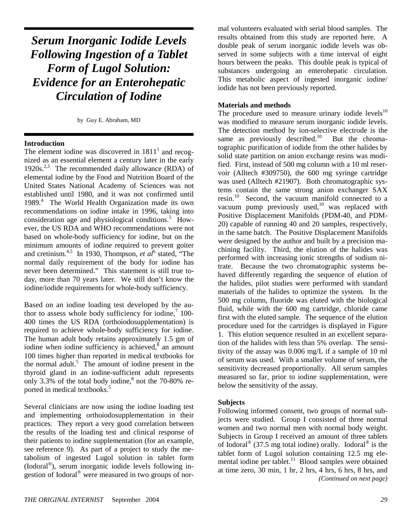# *Serum Inorganic Iodide Levels Following Ingestion of a Tablet Form of Lugol Solution: Evidence for an Enterohepatic Circulation of Iodine*

by Guy E. Abraham, MD

### **Introduction**

The element iodine was discovered in  $1811<sup>1</sup>$  and recognized as an essential element a century later in the early 1920s.<sup>2,3</sup> The recommended daily allowance (RDA) of elemental iodine by the Food and Nutrition Board of the United States National Academy of Sciences was not established until 1980, and it was not confirmed until 1989.<sup>4</sup> The World Health Organization made its own recommendations on iodine intake in 1996, taking into consideration age and physiological conditions.<sup>5</sup> However, the US RDA and WHO recommendations were not based on whole-body sufficiency for iodine, but on the minimum amounts of iodine required to prevent goiter and cretinism.<sup>4,5</sup> In 1930, Thompson, *et al*<sup>6</sup> stated, "The normal daily requirement of the body for iodine has never been determined." This statement is still true today, more than 70 years later. We still don't know the iodine/iodide requirements for whole-body sufficiency.

Based on an iodine loading test developed by the author to assess whole body sufficiency for iodine, $7$  100-400 times the US RDA (orthoiodosupplementation) is required to achieve whole-body sufficiency for iodine. The human adult body retains approximately 1.5 gm of iodine when iodine sufficiency is achieved, $\delta$  an amount 100 times higher than reported in medical textbooks for the normal adult.<sup>5</sup> The amount of iodine present in the thyroid gland in an iodine-sufficient adult represents only 3.3% of the total body iodine, $8$  not the 70-80% reported in medical textbooks.<sup>5</sup>

Several clinicians are now using the iodine loading test and implementing orthoiodosupplementation in their practices. They report a very good correlation between the results of the loading test and clinical response of their patients to iodine supplementation (for an example, see reference 9). As part of a project to study the metabolism of ingested Lugol solution in tablet form (Iodoral®), serum inorganic iodide levels following ingestion of Iodoral® were measured in two groups of normal volunteers evaluated with serial blood samples. The results obtained from this study are reported here. A double peak of serum inorganic iodide levels was observed in some subjects with a time interval of eight hours between the peaks. This double peak is typical of substances undergoing an enterohepatic circulation. This metabolic aspect of ingested inorganic iodine/ iodide has not been previously reported.

### **Materials and methods**

The procedure used to measure urinary iodide levels $10$ was modified to measure serum inorganic iodide levels. The detection method by ion-selective electrode is the same as previously described.<sup>10</sup> But the chromatographic purification of iodide from the other halides by solid state partition on anion exchange resins was modified. First, instead of 500 mg column with a 10 ml reservoir (Alltech #309750), the 600 mg syringe cartridge was used (Alltech #21907). Both chromatographic systems contain the same strong anion exchanger SAX resin.10 Second, the vacuum manifold connected to a vacuum pump previously used, $^{10}$  was replaced with Positive Displacement Manifolds (PDM-40, and PDM-20) capable of running 40 and 20 samples, respectively, in the same batch. The Positive Displacement Manifolds were designed by the author and built by a precision machining facility. Third, the elution of the halides was performed with increasing ionic strengths of sodium nitrate. Because the two chromatographic systems behaved differently regarding the sequence of elution of the halides, pilot studies were performed with standard materials of the halides to optimize the system. In the 500 mg column, fluoride was eluted with the biological fluid, while with the 600 mg cartridge, chloride came first with the eluted sample. The sequence of the elution procedure used for the cartridges is displayed in Figure 1. This elution sequence resulted in an excellent separation of the halides with less than 5% overlap. The sensitivity of the assay was 0.006 mg/L if a sample of 10 ml of serum was used. With a smaller volume of serum, the sensitivity decreased proportionally. All serum samples measured so far, prior to iodine supplementation, were below the sensitivity of the assay.

## **Subjects**

Following informed consent, two groups of normal subjects were studied. Group I consisted of three normal women and two normal men with normal body weight. Subjects in Group I received an amount of three tablets of Iodoral<sup>®</sup> (37.5 mg total iodine) orally. Iodoral<sup>®</sup> is the tablet form of Lugol solution containing 12.5 mg elemental iodine per tablet.<sup>11</sup> Blood samples were obtained at time zero, 30 min, 1 hr, 2 hrs, 4 hrs, 6 hrs, 8 hrs, and *(Continued on next page)*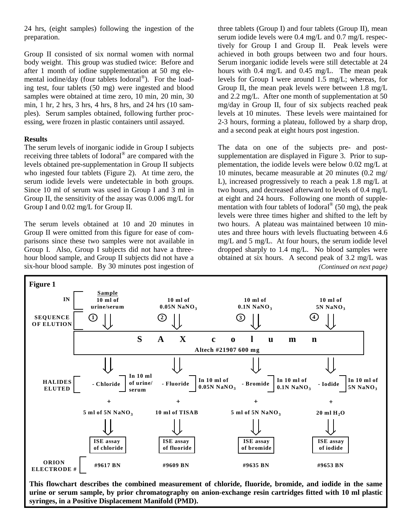24 hrs, (eight samples) following the ingestion of the preparation.

Group II consisted of six normal women with normal body weight. This group was studied twice: Before and after 1 month of iodine supplementation at 50 mg elemental iodine/day (four tablets Iodoral®). For the loading test, four tablets (50 mg) were ingested and blood samples were obtained at time zero, 10 min, 20 min, 30 min, 1 hr, 2 hrs, 3 hrs, 4 hrs, 8 hrs, and 24 hrs (10 samples). Serum samples obtained, following further processing, were frozen in plastic containers until assayed.

# **Results**

The serum levels of inorganic iodide in Group I subjects receiving three tablets of Iodoral® are compared with the levels obtained pre-supplementation in Group II subjects who ingested four tablets (Figure 2). At time zero, the serum iodide levels were undetectable in both groups. Since 10 ml of serum was used in Group I and 3 ml in Group II, the sensitivity of the assay was 0.006 mg/L for Group I and 0.02 mg/L for Group II.

The serum levels obtained at 10 and 20 minutes in Group II were omitted from this figure for ease of comparisons since these two samples were not available in Group I. Also, Group I subjects did not have a threehour blood sample, and Group II subjects did not have a six-hour blood sample. By 30 minutes post ingestion of

three tablets (Group I) and four tablets (Group II), mean serum iodide levels were 0.4 mg/L and 0.7 mg/L respectively for Group I and Group II. Peak levels were achieved in both groups between two and four hours. Serum inorganic iodide levels were still detectable at 24 hours with 0.4 mg/L and 0.45 mg/L. The mean peak levels for Group I were around 1.5 mg/L; whereas, for Group II, the mean peak levels were between 1.8 mg/L and 2.2 mg/L. After one month of supplementation at 50 mg/day in Group II, four of six subjects reached peak levels at 10 minutes. These levels were maintained for 2-3 hours, forming a plateau, followed by a sharp drop, and a second peak at eight hours post ingestion.

The data on one of the subjects pre- and postsupplementation are displayed in Figure 3. Prior to supplementation, the iodide levels were below 0.02 mg/L at 10 minutes, became measurable at 20 minutes (0.2 mg/ L), increased progressively to reach a peak 1.8 mg/L at two hours, and decreased afterward to levels of 0.4 mg/L at eight and 24 hours. Following one month of supplementation with four tablets of Iodoral<sup>®</sup> (50 mg), the peak levels were three times higher and shifted to the left by two hours. A plateau was maintained between 10 minutes and three hours with levels fluctuating between 4.6 mg/L and 5 mg/L. At four hours, the serum iodide level dropped sharply to 1.4 mg/L. No blood samples were obtained at six hours. A second peak of 3.2 mg/L was *(Continued on next page)* 



**This flowchart describes the combined measurement of chloride, fluoride, bromide, and iodide in the same urine or serum sample, by prior chromatography on anion-exchange resin cartridges fitted with 10 ml plastic syringes, in a Positive Displacement Manifold (PMD).**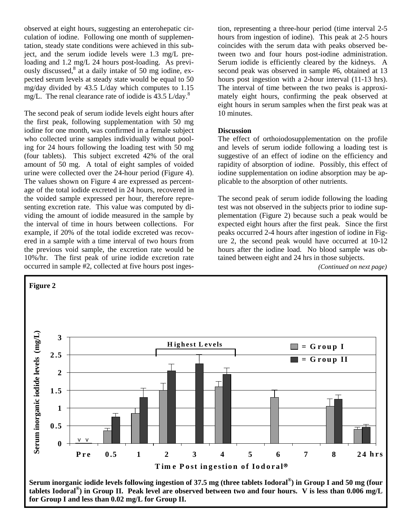observed at eight hours, suggesting an enterohepatic circulation of iodine. Following one month of supplementation, steady state conditions were achieved in this subject, and the serum iodide levels were 1.3 mg/L preloading and 1.2 mg/L 24 hours post-loading. As previously discussed,<sup>8</sup> at a daily intake of 50 mg iodine, expected serum levels at steady state would be equal to 50 mg/day divided by 43.5 L/day which computes to 1.15 mg/L. The renal clearance rate of iodide is  $43.5 \text{ L/day}^8$ .

The second peak of serum iodide levels eight hours after the first peak, following supplementation with 50 mg iodine for one month, was confirmed in a female subject who collected urine samples individually without pooling for 24 hours following the loading test with 50 mg (four tablets). This subject excreted 42% of the oral amount of 50 mg. A total of eight samples of voided urine were collected over the 24-hour period (Figure 4). The values shown on Figure 4 are expressed as percentage of the total iodide excreted in 24 hours, recovered in the voided sample expressed per hour, therefore representing excretion rate. This value was computed by dividing the amount of iodide measured in the sample by the interval of time in hours between collections. For example, if 20% of the total iodide excreted was recovered in a sample with a time interval of two hours from the previous void sample, the excretion rate would be 10%/hr. The first peak of urine iodide excretion rate occurred in sample #2, collected at five hours post ingestion, representing a three-hour period (time interval 2-5 hours from ingestion of iodine). This peak at 2-5 hours coincides with the serum data with peaks observed between two and four hours post-iodine administration. Serum iodide is efficiently cleared by the kidneys. A second peak was observed in sample #6, obtained at 13 hours post ingestion with a 2-hour interval (11-13 hrs). The interval of time between the two peaks is approximately eight hours, confirming the peak observed at eight hours in serum samples when the first peak was at 10 minutes.

## **Discussion**

The effect of orthoiodosupplementation on the profile and levels of serum iodide following a loading test is suggestive of an effect of iodine on the efficiency and rapidity of absorption of iodine. Possibly, this effect of iodine supplementation on iodine absorption may be applicable to the absorption of other nutrients.

The second peak of serum iodide following the loading test was not observed in the subjects prior to iodine supplementation (Figure 2) because such a peak would be expected eight hours after the first peak. Since the first peaks occurred 2-4 hours after ingestion of iodine in Figure 2, the second peak would have occurred at 10-12 hours after the iodine load. No blood sample was obtained between eight and 24 hrs in those subjects.

*(Continued on next page)* 



**tablets Iodoral®) in Group II. Peak level are observed between two and four hours. V is less than 0.006 mg/L for Group I and less than 0.02 mg/L for Group II.**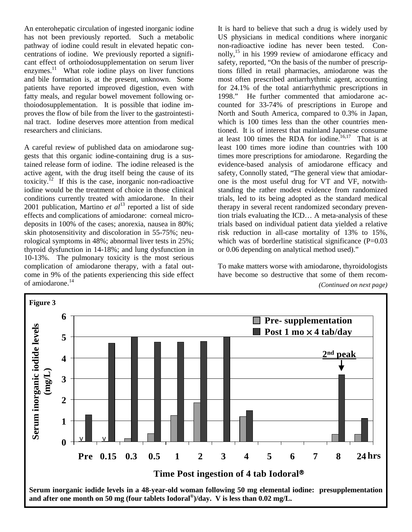An enterohepatic circulation of ingested inorganic iodine has not been previously reported. Such a metabolic pathway of iodine could result in elevated hepatic concentrations of iodine. We previously reported a significant effect of orthoiodosupplementation on serum liver enzymes. $\frac{11}{11}$  What role iodine plays on liver functions and bile formation is, at the present, unknown. Some patients have reported improved digestion, even with fatty meals, and regular bowel movement following orthoiodosupplementation. It is possible that iodine improves the flow of bile from the liver to the gastrointestinal tract. Iodine deserves more attention from medical researchers and clinicians.

A careful review of published data on amiodarone suggests that this organic iodine-containing drug is a sustained release form of iodine. The iodine released is the active agent, with the drug itself being the cause of its toxicity.<sup>12</sup> If this is the case, inorganic non-radioactive iodine would be the treatment of choice in those clinical conditions currently treated with amiodarone. In their 2001 publication, Martino *et al*13 reported a list of side effects and complications of amiodarone: corneal microdeposits in 100% of the cases; anorexia, nausea in 80%; skin photosensitivity and discoloration in 55-75%; neurological symptoms in 48%; abnormal liver tests in 25%; thyroid dysfunction in 14-18%; and lung dysfunction in 10-13%. The pulmonary toxicity is the most serious complication of amiodarone therapy, with a fatal outcome in 9% of the patients experiencing this side effect of amiodarone.<sup>14</sup>

It is hard to believe that such a drug is widely used by US physicians in medical conditions where inorganic non-radioactive iodine has never been tested. Connolly,15 in his 1999 review of amiodarone efficacy and safety, reported, "On the basis of the number of prescriptions filled in retail pharmacies, amiodarone was the most often prescribed antiarrhythmic agent, accounting for 24.1% of the total antiarrhythmic prescriptions in 1998." He further commented that amiodarone ac-He further commented that amiodarone accounted for 33-74% of prescriptions in Europe and North and South America, compared to 0.3% in Japan, which is 100 times less than the other countries mentioned. It is of interest that mainland Japanese consume at least 100 times the RDA for iodine.<sup>16,17</sup> That is at least 100 times more iodine than countries with 100 times more prescriptions for amiodarone. Regarding the evidence-based analysis of amiodarone efficacy and safety, Connolly stated, "The general view that amiodarone is the most useful drug for VT and VF, notwithstanding the rather modest evidence from randomized trials, led to its being adopted as the standard medical therapy in several recent randomized secondary prevention trials evaluating the ICD… A meta-analysis of these trials based on individual patient data yielded a relative risk reduction in all-case mortality of 13% to 15%, which was of borderline statistical significance  $(P=0.03$ or 0.06 depending on analytical method used)."

To make matters worse with amiodarone, thyroidologists have become so destructive that some of them recom-



*(Continued on next page)*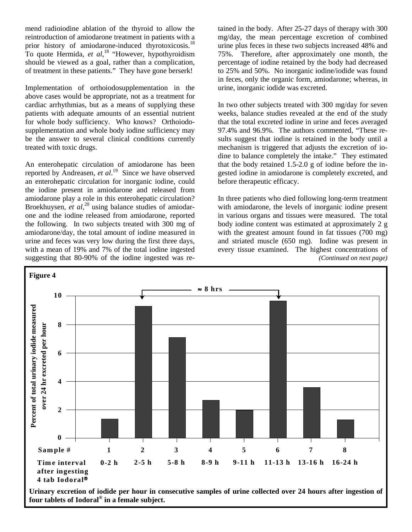mend radioiodine ablation of the thyroid to allow the reintroduction of amiodarone treatment in patients with a prior history of amiodarone-induced thyrotoxicosis.<sup>18</sup> To quote Hermida, *et al*, 18 "However, hypothyroidism should be viewed as a goal, rather than a complication, of treatment in these patients." They have gone berserk!

Implementation of orthoiodosupplementation in the above cases would be appropriate, not as a treatment for cardiac arrhythmias, but as a means of supplying these patients with adequate amounts of an essential nutrient for whole body sufficiency. Who knows? Orthoiodosupplementation and whole body iodine sufficiency may be the answer to several clinical conditions currently treated with toxic drugs.

An enterohepatic circulation of amiodarone has been reported by Andreasen, *et al*. 19 Since we have observed an enterohepatic circulation for inorganic iodine, could the iodine present in amiodarone and released from amiodarone play a role in this enterohepatic circulation? Broekhuysen, *et al*,<sup>20</sup> using balance studies of amiodarone and the iodine released from amiodarone, reported the following. In two subjects treated with 300 mg of amiodarone/day, the total amount of iodine measured in urine and feces was very low during the first three days, with a mean of 19% and 7% of the total iodine ingested suggesting that 80-90% of the iodine ingested was retained in the body. After 25-27 days of therapy with 300 mg/day, the mean percentage excretion of combined urine plus feces in these two subjects increased 48% and 75%. Therefore, after approximately one month, the percentage of iodine retained by the body had decreased to 25% and 50%. No inorganic iodine/iodide was found in feces, only the organic form, amiodarone; whereas, in urine, inorganic iodide was excreted.

In two other subjects treated with 300 mg/day for seven weeks, balance studies revealed at the end of the study that the total excreted iodine in urine and feces averaged 97.4% and 96.9%. The authors commented, "These results suggest that iodine is retained in the body until a mechanism is triggered that adjusts the excretion of iodine to balance completely the intake." They estimated that the body retained 1.5-2.0 g of iodine before the ingested iodine in amiodarone is completely excreted, and before therapeutic efficacy.

In three patients who died following long-term treatment with amiodarone, the levels of inorganic iodine present in various organs and tissues were measured. The total body iodine content was estimated at approximately 2 g with the greatest amount found in fat tissues (700 mg) and striated muscle (650 mg). Iodine was present in every tissue examined. The highest concentrations of *(Continued on next page)* 



**four tablets of Iodoral® in a female subject.**